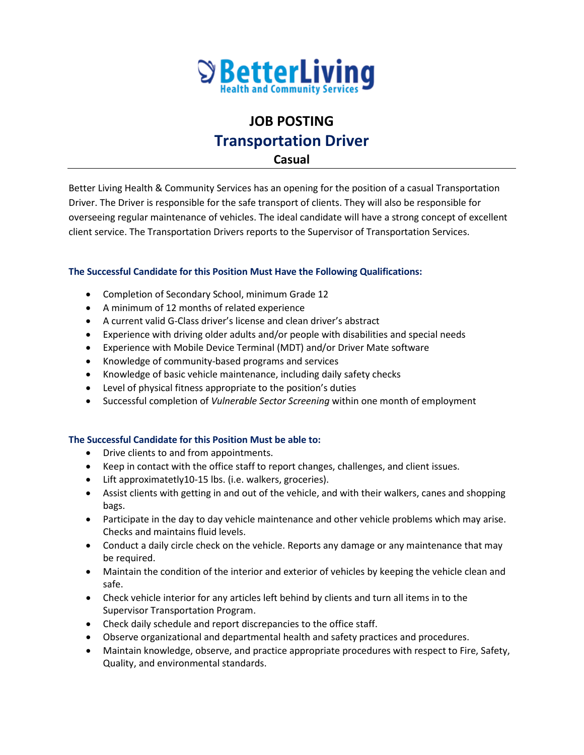

## **JOB POSTING Transportation Driver**

**Casual**

Better Living Health & Community Services has an opening for the position of a casual Transportation Driver. The Driver is responsible for the safe transport of clients. They will also be responsible for overseeing regular maintenance of vehicles. The ideal candidate will have a strong concept of excellent client service. The Transportation Drivers reports to the Supervisor of Transportation Services.

## **The Successful Candidate for this Position Must Have the Following Qualifications:**

- Completion of Secondary School, minimum Grade 12
- A minimum of 12 months of related experience
- A current valid G-Class driver's license and clean driver's abstract
- Experience with driving older adults and/or people with disabilities and special needs
- Experience with Mobile Device Terminal (MDT) and/or Driver Mate software
- Knowledge of community-based programs and services
- Knowledge of basic vehicle maintenance, including daily safety checks
- Level of physical fitness appropriate to the position's duties
- Successful completion of *Vulnerable Sector Screening* within one month of employment

## **The Successful Candidate for this Position Must be able to:**

- Drive clients to and from appointments.
- Keep in contact with the office staff to report changes, challenges, and client issues.
- Lift approximatetly10-15 lbs. (i.e. walkers, groceries).
- Assist clients with getting in and out of the vehicle, and with their walkers, canes and shopping bags.
- Participate in the day to day vehicle maintenance and other vehicle problems which may arise. Checks and maintains fluid levels.
- Conduct a daily circle check on the vehicle. Reports any damage or any maintenance that may be required.
- Maintain the condition of the interior and exterior of vehicles by keeping the vehicle clean and safe.
- Check vehicle interior for any articles left behind by clients and turn all items in to the Supervisor Transportation Program.
- Check daily schedule and report discrepancies to the office staff.
- Observe organizational and departmental health and safety practices and procedures.
- Maintain knowledge, observe, and practice appropriate procedures with respect to Fire, Safety, Quality, and environmental standards.